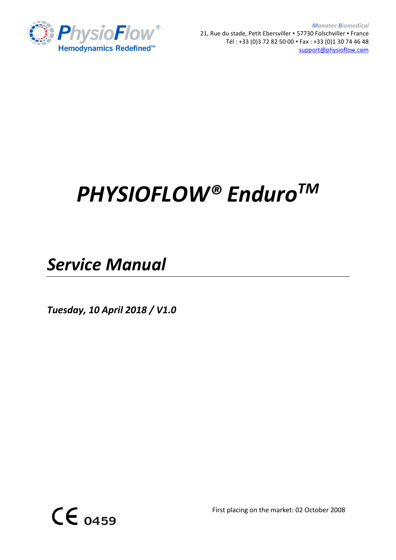

*Manatec Biomedical* 21, Rue du stade, Petit Ebersviller · 57730 Folschviller · France Tél : +33 (0)3 72 82 50 00 ▪ Fax : +33 (0)1 30 74 46 48 [support@physioflow.com](mailto:support@physioflow.com)

# *PHYSIOFLOW® EnduroTM*

*Service Manual*

*Tuesday, 10 April 2018 / V1.0*



First placing on the market: 02 October 2008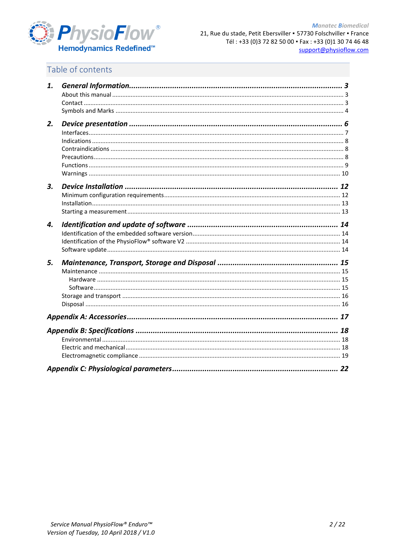

## Table of contents

| 1. |    |
|----|----|
|    |    |
|    |    |
|    |    |
| 2. |    |
|    |    |
|    |    |
|    |    |
|    |    |
|    |    |
|    |    |
| 3. |    |
|    |    |
|    |    |
|    |    |
| 4. |    |
|    |    |
|    |    |
|    |    |
| 5. |    |
|    |    |
|    |    |
|    |    |
|    |    |
|    |    |
|    |    |
|    | 18 |
|    |    |
|    |    |
|    |    |
|    |    |
|    |    |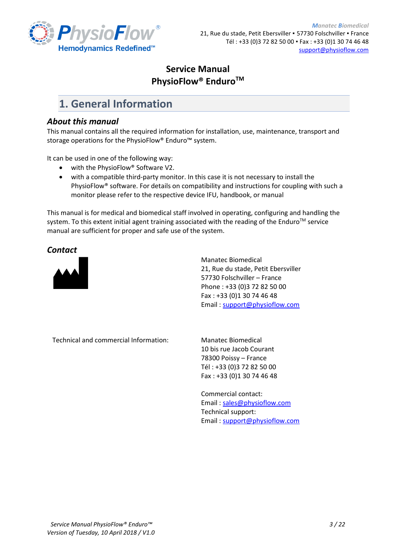

### **Service Manual PhysioFlow® EnduroTM**

## <span id="page-2-0"></span>**1. General Information**

#### <span id="page-2-1"></span>*About this manual*

This manual contains all the required information for installation, use, maintenance, transport and storage operations for the PhysioFlow® Enduro™ system.

It can be used in one of the following way:

- with the PhysioFlow<sup>®</sup> Software V2.
- with a compatible third-party monitor. In this case it is not necessary to install the PhysioFlow® software. For details on compatibility and instructions for coupling with such a monitor please refer to the respective device IFU, handbook, or manual

This manual is for medical and biomedical staff involved in operating, configuring and handling the system. To this extent initial agent training associated with the reading of the Enduro™ service manual are sufficient for proper and safe use of the system.

#### <span id="page-2-2"></span>*Contact*



Manatec Biomedical 21, Rue du stade, Petit Ebersviller 57730 Folschviller – France Phone : +33 (0)3 72 82 50 00 Fax : +33 (0)1 30 74 46 48 Email [: support@physioflow.com](mailto:support@physioflow.com)

Technical and commercial Information: Manatec Biomedical

10 bis rue Jacob Courant 78300 Poissy – France Tél : +33 (0)3 72 82 50 00 Fax : +33 (0)1 30 74 46 48

Commercial contact: Email [: sales@physioflow.com](mailto:sales@physioflow.com) Technical support: Email [: support@physioflow.com](mailto:support@physioflow.com)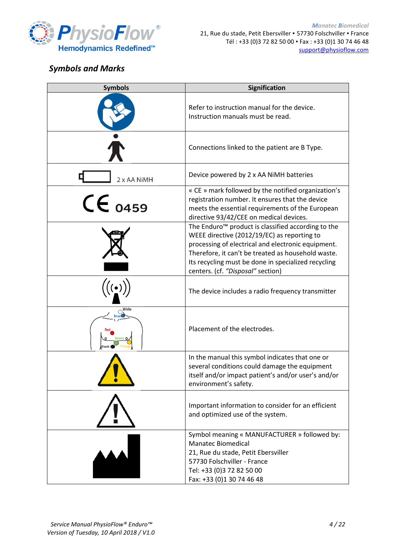

*Manatec Biomedical* 21, Rue du stade, Petit Ebersviller ▪ 57730 Folschviller ▪ France Tél : +33 (0)3 72 82 50 00 ▪ Fax : +33 (0)1 30 74 46 48 [support@physioflow.com](mailto:support@physioflow.com)

## <span id="page-3-0"></span>*Symbols and Marks*

| <b>Symbols</b> | Signification                                                                                                                                                                                                                                                                                                         |
|----------------|-----------------------------------------------------------------------------------------------------------------------------------------------------------------------------------------------------------------------------------------------------------------------------------------------------------------------|
|                | Refer to instruction manual for the device.<br>Instruction manuals must be read.                                                                                                                                                                                                                                      |
|                | Connections linked to the patient are B Type.                                                                                                                                                                                                                                                                         |
| 2 x AA NiMH    | Device powered by 2 x AA NiMH batteries                                                                                                                                                                                                                                                                               |
| $CE_{0459}$    | « CE » mark followed by the notified organization's<br>registration number. It ensures that the device<br>meets the essential requirements of the European<br>directive 93/42/CEE on medical devices.                                                                                                                 |
|                | The Enduro <sup>™</sup> product is classified according to the<br>WEEE directive (2012/19/EC) as reporting to<br>processing of electrical and electronic equipment.<br>Therefore, it can't be treated as household waste.<br>Its recycling must be done in specialized recycling<br>centers. (cf. "Disposal" section) |
|                | The device includes a radio frequency transmitter                                                                                                                                                                                                                                                                     |
|                | Placement of the electrodes.                                                                                                                                                                                                                                                                                          |
|                | In the manual this symbol indicates that one or<br>several conditions could damage the equipment<br>itself and/or impact patient's and/or user's and/or<br>environment's safety.                                                                                                                                      |
|                | Important information to consider for an efficient<br>and optimized use of the system.                                                                                                                                                                                                                                |
|                | Symbol meaning « MANUFACTURER » followed by:<br><b>Manatec Biomedical</b><br>21, Rue du stade, Petit Ebersviller<br>57730 Folschviller - France<br>Tel: +33 (0)3 72 82 50 00<br>Fax: +33 (0)1 30 74 46 48                                                                                                             |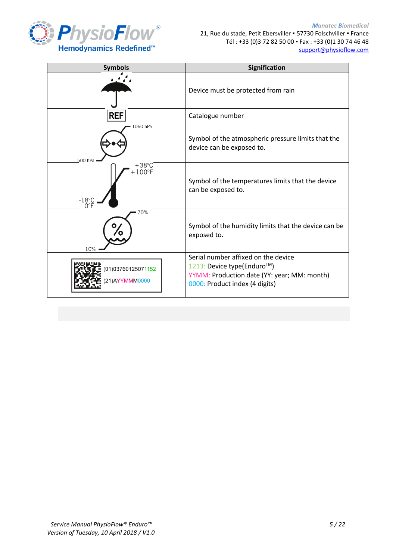

| <b>Symbols</b>                                                       | Signification                                                                                                                                      |
|----------------------------------------------------------------------|----------------------------------------------------------------------------------------------------------------------------------------------------|
|                                                                      | Device must be protected from rain                                                                                                                 |
| <b>REF</b>                                                           | Catalogue number                                                                                                                                   |
| 1060 hPa<br>500 hPa                                                  | Symbol of the atmospheric pressure limits that the<br>device can be exposed to.                                                                    |
| $+38^{\circ}$ C<br>$+100^{\circ}$ F<br>$-18^\circ$ C<br>O $^\circ$ F | Symbol of the temperatures limits that the device<br>can be exposed to.                                                                            |
| 70%<br>10%                                                           | Symbol of the humidity limits that the device can be<br>exposed to.                                                                                |
| 01)03760125071152<br>21) AYYMMM0000                                  | Serial number affixed on the device<br>1213: Device type(Enduro™)<br>YYMM: Production date (YY: year; MM: month)<br>0000: Product index (4 digits) |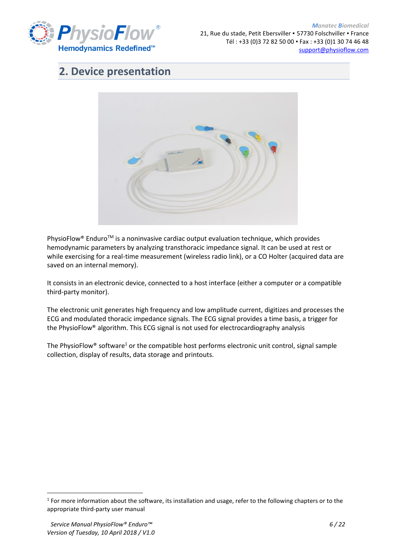

# <span id="page-5-0"></span>**2. Device presentation**



PhysioFlow® Enduro<sup>™</sup> is a noninvasive cardiac output evaluation technique, which provides hemodynamic parameters by analyzing transthoracic impedance signal. It can be used at rest or while exercising for a real-time measurement (wireless radio link), or a CO Holter (acquired data are saved on an internal memory).

It consists in an electronic device, connected to a host interface (either a computer or a compatible third-party monitor).

The electronic unit generates high frequency and low amplitude current, digitizes and processes the ECG and modulated thoracic impedance signals. The ECG signal provides a time basis, a trigger for the PhysioFlow® algorithm. This ECG signal is not used for electrocardiography analysis

The PhysioFlow® software<sup>1</sup> or the compatible host performs electronic unit control, signal sample collection, display of results, data storage and printouts.

**.** 

 $1$  For more information about the software, its installation and usage, refer to the following chapters or to the appropriate third-party user manual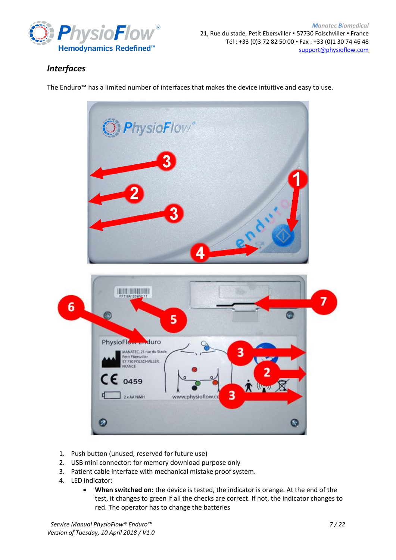

*Manatec Biomedical* 21, Rue du stade, Petit Ebersviller · 57730 Folschviller · France Tél : +33 (0)3 72 82 50 00 ▪ Fax : +33 (0)1 30 74 46 48 [support@physioflow.com](mailto:support@physioflow.com)

## <span id="page-6-0"></span>*Interfaces*

The Enduro™ has a limited number of interfaces that makes the device intuitive and easy to use.



- 1. Push button (unused, reserved for future use)
- 2. USB mini connector: for memory download purpose only
- 3. Patient cable interface with mechanical mistake proof system.
- 4. LED indicator:
	- **When switched on:** the device is tested, the indicator is orange. At the end of the test, it changes to green if all the checks are correct. If not, the indicator changes to red. The operator has to change the batteries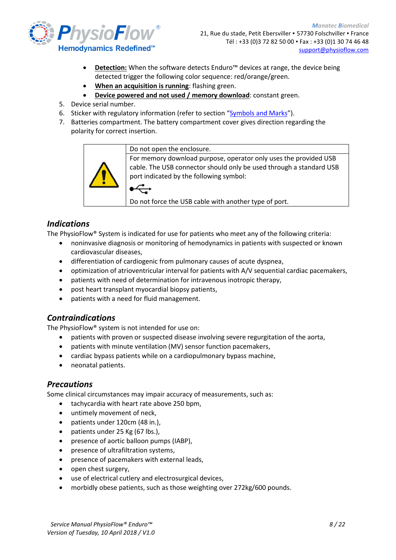

21, Rue du stade, Petit Ebersviller · 57730 Folschviller · France Tél : +33 (0)3 72 82 50 00 ▪ Fax : +33 (0)1 30 74 46 48 [support@physioflow.com](mailto:support@physioflow.com)

- **Detection:** When the software detects Enduro<sup>™</sup> devices at range, the device being detected trigger the following color sequence: red/orange/green.
- **When an acquisition is running**: flashing green.
- **Device powered and not used / memory download**: constant green.
- 5. Device serial number.
- 6. Sticker with regulatory information (refer to section "[Symbols and Marks](#page-3-0)").
- 7. Batteries compartment. The battery compartment cover gives direction regarding the polarity for correct insertion.



Do not open the enclosure.

For memory download purpose, operator only uses the provided USB cable. The USB connector should only be used through a standard USB port indicated by the following symbol:

Do not force the USB cable with another type of port.

#### <span id="page-7-0"></span>*Indications*

The PhysioFlow® System is indicated for use for patients who meet any of the following criteria:

- noninvasive diagnosis or monitoring of hemodynamics in patients with suspected or known cardiovascular diseases,
- differentiation of cardiogenic from pulmonary causes of acute dyspnea,
- optimization of atrioventricular interval for patients with A/V sequential cardiac pacemakers,
- patients with need of determination for intravenous inotropic therapy,
- post heart transplant myocardial biopsy patients,
- patients with a need for fluid management.

#### <span id="page-7-1"></span>*Contraindications*

The PhysioFlow® system is not intended for use on:

- patients with proven or suspected disease involving severe regurgitation of the aorta,
- patients with minute ventilation (MV) sensor function pacemakers,
- cardiac bypass patients while on a cardiopulmonary bypass machine,
- neonatal patients.

#### <span id="page-7-2"></span>*Precautions*

Some clinical circumstances may impair accuracy of measurements, such as:

- tachycardia with heart rate above 250 bpm,
- untimely movement of neck,
- patients under 120cm (48 in.),
- patients under 25 Kg (67 lbs.),
- presence of aortic balloon pumps (IABP),
- presence of ultrafiltration systems,
- presence of pacemakers with external leads,
- open chest surgery,
- use of electrical cutlery and electrosurgical devices,
- morbidly obese patients, such as those weighting over 272kg/600 pounds.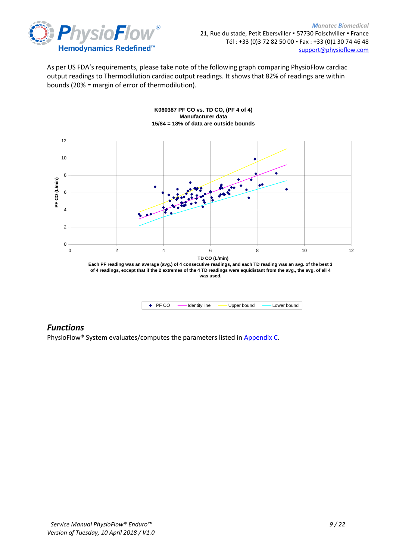

As per US FDA's requirements, please take note of the following graph comparing PhysioFlow cardiac output readings to Thermodilution cardiac output readings. It shows that 82% of readings are within bounds (20% = margin of error of thermodilution).



• PF CO -- Identity line -- Upper bound -- Lower bound

#### **K060387 PF CO vs. TD CO, (PF 4 of 4) Manufacturer data 15/84 = 18% of data are outside bounds**

#### <span id="page-8-0"></span>*Functions*

PhysioFlow® System evaluates/computes the parameters listed in [Appendix C.](#page-21-0)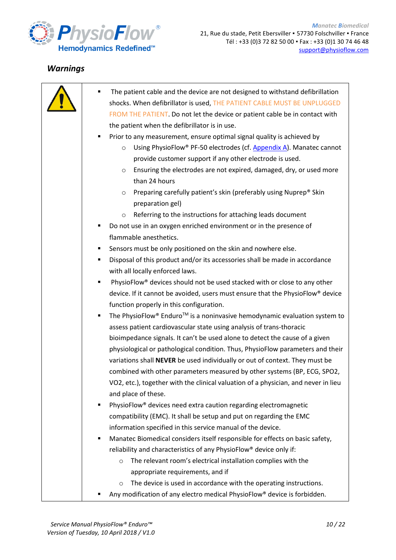

## <span id="page-9-0"></span>*Warnings*

| The patient cable and the device are not designed to withstand defibrillation<br>٠ |
|------------------------------------------------------------------------------------|
| shocks. When defibrillator is used, THE PATIENT CABLE MUST BE UNPLUGGED            |
| FROM THE PATIENT. Do not let the device or patient cable be in contact with        |
| the patient when the defibrillator is in use.                                      |
| Prior to any measurement, ensure optimal signal quality is achieved by<br>٠        |
| Using PhysioFlow® PF-50 electrodes (cf. Appendix A). Manatec cannot<br>$\circ$     |
| provide customer support if any other electrode is used.                           |
| Ensuring the electrodes are not expired, damaged, dry, or used more<br>$\circ$     |
| than 24 hours                                                                      |
| Preparing carefully patient's skin (preferably using Nuprep® Skin<br>$\circ$       |
| preparation gel)                                                                   |
| Referring to the instructions for attaching leads document<br>$\circ$              |
| Do not use in an oxygen enriched environment or in the presence of<br>٠            |
| flammable anesthetics.                                                             |
| Sensors must be only positioned on the skin and nowhere else.<br>٠                 |
| Disposal of this product and/or its accessories shall be made in accordance<br>٠   |
| with all locally enforced laws.                                                    |
| PhysioFlow® devices should not be used stacked with or close to any other<br>٠     |
| device. If it cannot be avoided, users must ensure that the PhysioFlow® device     |
| function properly in this configuration.                                           |
| The PhysioFlow® Enduro™ is a noninvasive hemodynamic evaluation system to<br>٠     |
| assess patient cardiovascular state using analysis of trans-thoracic               |
| bioimpedance signals. It can't be used alone to detect the cause of a given        |
| physiological or pathological condition. Thus, PhysioFlow parameters and their     |
| variations shall NEVER be used individually or out of context. They must be        |
| combined with other parameters measured by other systems (BP, ECG, SPO2,           |
| VO2, etc.), together with the clinical valuation of a physician, and never in lieu |
| and place of these.                                                                |
| PhysioFlow <sup>®</sup> devices need extra caution regarding electromagnetic<br>٠  |
| compatibility (EMC). It shall be setup and put on regarding the EMC                |
| information specified in this service manual of the device.                        |
| Manatec Biomedical considers itself responsible for effects on basic safety,<br>٠  |
| reliability and characteristics of any PhysioFlow® device only if:                 |
| The relevant room's electrical installation complies with the<br>$\circ$           |
| appropriate requirements, and if                                                   |
| The device is used in accordance with the operating instructions.<br>$\circ$       |
| Any modification of any electro medical PhysioFlow® device is forbidden.           |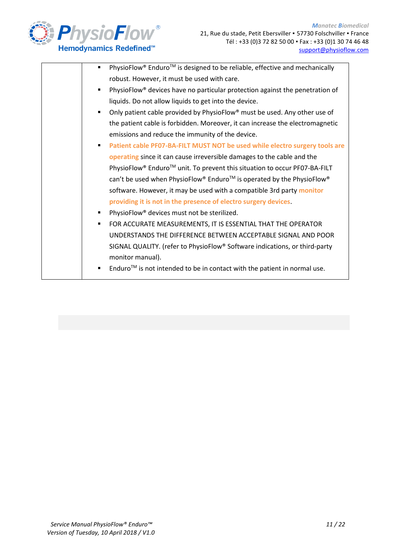

| PhysioFlow® Enduro™ is designed to be reliable, effective and mechanically<br>$\blacksquare$ |
|----------------------------------------------------------------------------------------------|
| robust. However, it must be used with care.                                                  |
| PhysioFlow® devices have no particular protection against the penetration of                 |
| liquids. Do not allow liquids to get into the device.                                        |
| Only patient cable provided by PhysioFlow® must be used. Any other use of                    |
| the patient cable is forbidden. Moreover, it can increase the electromagnetic                |
| emissions and reduce the immunity of the device.                                             |
| Patient cable PF07-BA-FILT MUST NOT be used while electro surgery tools are<br>٠             |
| operating since it can cause irreversible damages to the cable and the                       |
| PhysioFlow® Enduro™ unit. To prevent this situation to occur PF07-BA-FILT                    |
| can't be used when PhysioFlow® Enduro™ is operated by the PhysioFlow®                        |
| software. However, it may be used with a compatible 3rd party monitor                        |
| providing it is not in the presence of electro surgery devices                               |
| PhysioFlow <sup>®</sup> devices must not be sterilized.                                      |
| FOR ACCURATE MEASUREMENTS, IT IS ESSENTIAL THAT THE OPERATOR<br>٠                            |
| UNDERSTANDS THE DIFFERENCE BETWEEN ACCEPTABLE SIGNAL AND POOR                                |
| SIGNAL QUALITY. (refer to PhysioFlow® Software indications, or third-party                   |
| monitor manual).                                                                             |
| Enduro <sup>TM</sup> is not intended to be in contact with the patient in normal use.        |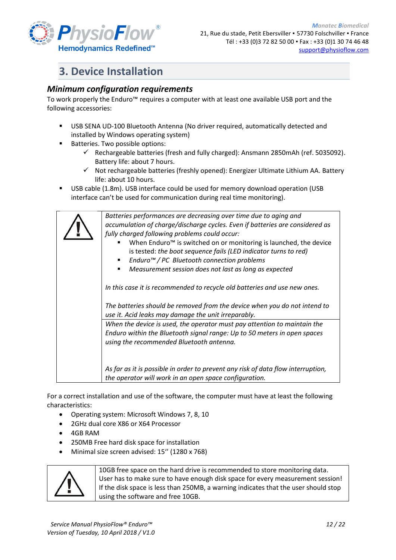

## <span id="page-11-0"></span>**3. Device Installation**

#### <span id="page-11-1"></span>*Minimum configuration requirements*

To work properly the Enduro™ requires a computer with at least one available USB port and the following accessories:

- USB SENA UD-100 Bluetooth Antenna (No driver required, automatically detected and installed by Windows operating system)
- Batteries. Two possible options:
	- $\checkmark$  Rechargeable batteries (fresh and fully charged): Ansmann 2850mAh (ref. 5035092). Battery life: about 7 hours.
	- Not rechargeable batteries (freshly opened): Energizer Ultimate Lithium AA. Battery life: about 10 hours.
- USB cable (1.8m). USB interface could be used for memory download operation (USB interface can't be used for communication during real time monitoring).

*Batteries performances are decreasing over time due to aging and accumulation of charge/discharge cycles. Even if batteries are considered as fully charged following problems could occur:* When Enduro™ is switched on or monitoring is launched, the device is tested: *the boot sequence fails (LED indicator turns to red)* ▪ *Enduro™ / PC Bluetooth connection problems*  ▪ *Measurement session does not last as long as expected In this case it is recommended to recycle old batteries and use new ones. The batteries should be removed from the device when you do not intend to use it. Acid leaks may damage the unit irreparably. When the device is used, the operator must pay attention to maintain the Enduro within the Bluetooth signal range: Up to 50 meters in open spaces using the recommended Bluetooth antenna. As far as it is possible in order to prevent any risk of data flow interruption, the operator will work in an open space configuration.* 

For a correct installation and use of the software, the computer must have at least the following characteristics:

- Operating system: Microsoft Windows 7, 8, 10
- 2GHz dual core X86 or X64 Processor
- 4GB RAM
- 250MB Free hard disk space for installation
- Minimal size screen advised: 15'' (1280 x 768)



10GB free space on the hard drive is recommended to store monitoring data. User has to make sure to have enough disk space for every measurement session! If the disk space is less than 250MB, a warning indicates that the user should stop using the software and free 10GB.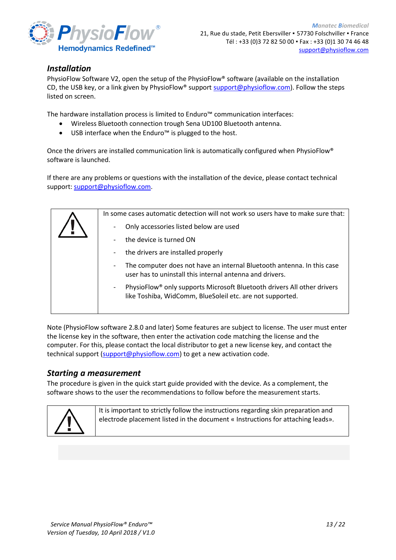

#### <span id="page-12-0"></span>*Installation*

PhysioFlow Software V2, open the setup of the PhysioFlow® software (available on the installation CD, the USB key, or a link given by PhysioFlow® support [support@physioflow.com\)](mailto:support@physioflow.com). Follow the steps listed on screen.

The hardware installation process is limited to Enduro™ communication interfaces:

- Wireless Bluetooth connection trough Sena UD100 Bluetooth antenna.
- USB interface when the Enduro™ is plugged to the host.

Once the drivers are installed communication link is automatically configured when PhysioFlow® software is launched.

If there are any problems or questions with the installation of the device, please contact technical support: [support@physioflow.com.](mailto:support@physioflow.com)

| In some cases automatic detection will not work so users have to make sure that:                                                                               |  |  |
|----------------------------------------------------------------------------------------------------------------------------------------------------------------|--|--|
| Only accessories listed below are used<br>$\overline{\phantom{a}}$                                                                                             |  |  |
| the device is turned ON                                                                                                                                        |  |  |
| the drivers are installed properly<br>$\overline{\phantom{a}}$                                                                                                 |  |  |
| The computer does not have an internal Bluetooth antenna. In this case<br>$\overline{\phantom{a}}$<br>user has to uninstall this internal antenna and drivers. |  |  |
| PhysioFlow® only supports Microsoft Bluetooth drivers All other drivers<br>-<br>like Toshiba, WidComm, BlueSoleil etc. are not supported.                      |  |  |
|                                                                                                                                                                |  |  |

Note (PhysioFlow software 2.8.0 and later) Some features are subject to license. The user must enter the license key in the software, then enter the activation code matching the license and the computer. For this, please contact the local distributor to get a new license key, and contact the technical support [\(support@physioflow.com\)](mailto:support@physioflow.com) to get a new activation code.

#### <span id="page-12-1"></span>*Starting a measurement*

The procedure is given in the quick start guide provided with the device. As a complement, the software shows to the user the recommendations to follow before the measurement starts.



It is important to strictly follow the instructions regarding skin preparation and electrode placement listed in the document « Instructions for attaching leads».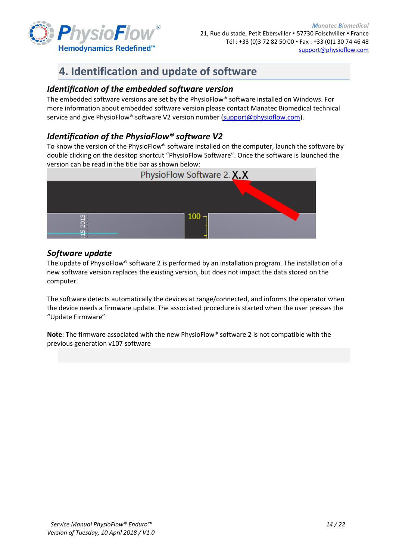

# <span id="page-13-0"></span>**4. Identification and update of software**

#### <span id="page-13-1"></span>*Identification of the embedded software version*

The embedded software versions are set by the PhysioFlow® software installed on Windows. For more information about embedded software version please contact Manatec Biomedical technical service and give PhysioFlow® software V2 version number [\(support@physioflow.com\)](mailto:support@physioflow.com).

#### <span id="page-13-2"></span>*Identification of the PhysioFlow® software V2*

To know the version of the PhysioFlow® software installed on the computer, launch the software by double clicking on the desktop shortcut "PhysioFlow Software". Once the software is launched the version can be read in the title bar as shown below:



#### <span id="page-13-3"></span>*Software update*

The update of PhysioFlow® software 2 is performed by an installation program. The installation of a new software version replaces the existing version, but does not impact the data stored on the computer.

The software detects automatically the devices at range/connected, and informs the operator when the device needs a firmware update. The associated procedure is started when the user presses the "Update Firmware"

**Note**: The firmware associated with the new PhysioFlow® software 2 is not compatible with the previous generation v107 software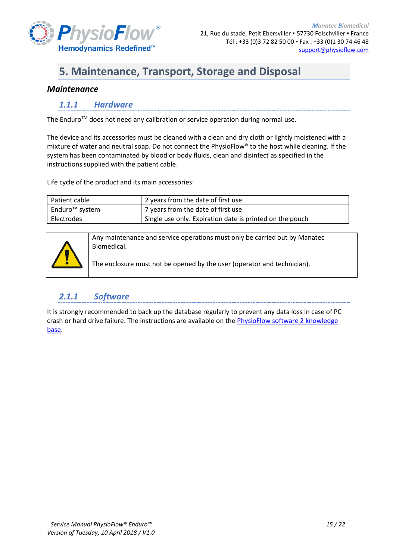

# <span id="page-14-0"></span>**5. Maintenance, Transport, Storage and Disposal**

#### <span id="page-14-2"></span><span id="page-14-1"></span>*Maintenance*

#### *1.1.1 Hardware*

The Enduro<sup>™</sup> does not need any calibration or service operation during normal use.

The device and its accessories must be cleaned with a clean and dry cloth or lightly moistened with a mixture of water and neutral soap. Do not connect the PhysioFlow® to the host while cleaning. If the system has been contaminated by blood or body fluids, clean and disinfect as specified in the instructions supplied with the patient cable.

Life cycle of the product and its main accessories:

| Patient cable  | 2 years from the date of first use                       |
|----------------|----------------------------------------------------------|
| Enduro™ system | 7 years from the date of first use                       |
| Electrodes     | Single use only. Expiration date is printed on the pouch |



Any maintenance and service operations must only be carried out by Manatec Biomedical.

The enclosure must not be opened by the user (operator and technician).

#### <span id="page-14-3"></span>*2.1.1 Software*

It is strongly recommended to back up the database regularly to prevent any data loss in case of PC crash or hard drive failure. The instructions are available on the **PhysioFlow software 2** knowledge [base.](http://support.physioflow.com/kb/faq.php?id=18)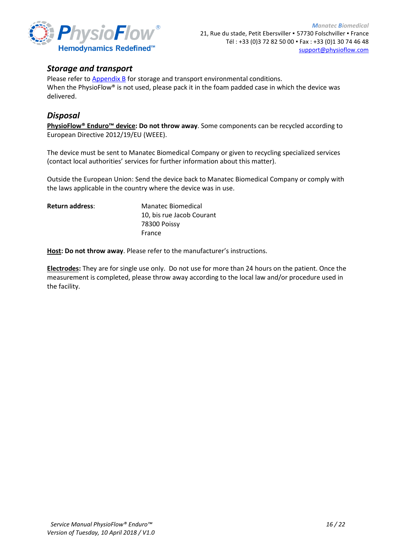

#### <span id="page-15-0"></span>*Storage and transport*

Please refer t[o Appendix B](#page-17-0) for storage and transport environmental conditions. When the PhysioFlow® is not used, please pack it in the foam padded case in which the device was delivered.

#### <span id="page-15-1"></span>*Disposal*

**PhysioFlow® Enduro™ device: Do not throw away**. Some components can be recycled according to European Directive 2012/19/EU (WEEE).

The device must be sent to Manatec Biomedical Company or given to recycling specialized services (contact local authorities' services for further information about this matter).

Outside the European Union: Send the device back to Manatec Biomedical Company or comply with the laws applicable in the country where the device was in use.

| <b>Return address:</b> | Manatec Biomedical        |
|------------------------|---------------------------|
|                        | 10, bis rue Jacob Courant |
|                        | 78300 Poissy              |
|                        | France                    |

**Host: Do not throw away**. Please refer to the manufacturer's instructions.

**Electrodes:** They are for single use only. Do not use for more than 24 hours on the patient. Once the measurement is completed, please throw away according to the local law and/or procedure used in the facility.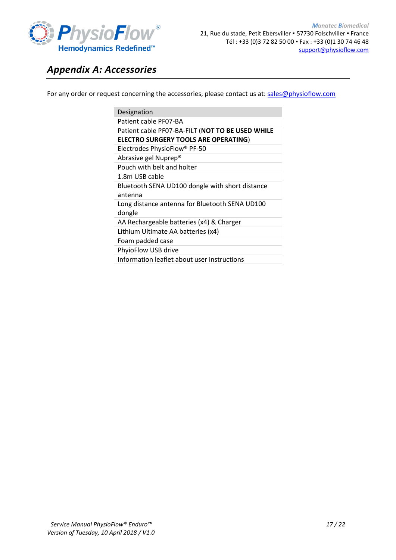

## <span id="page-16-0"></span>*Appendix A: Accessories*

For any order or request concerning the accessories, please contact us at: [sales@physioflow.com](mailto:sales@physioflow.com)

| Designation                                                                                     |
|-------------------------------------------------------------------------------------------------|
| Patient cable PF07-BA                                                                           |
| Patient cable PF07-BA-FILT (NOT TO BE USED WHILE<br><b>ELECTRO SURGERY TOOLS ARE OPERATING)</b> |
| Electrodes PhysioFlow® PF-50                                                                    |
| Abrasive gel Nuprep <sup>®</sup>                                                                |
| Pouch with belt and holter                                                                      |
| 1.8m USB cable                                                                                  |
| Bluetooth SENA UD100 dongle with short distance<br>antenna                                      |
| Long distance antenna for Bluetooth SENA UD100<br>dongle                                        |
| AA Rechargeable batteries (x4) & Charger                                                        |
| Lithium Ultimate AA batteries (x4)                                                              |
| Foam padded case                                                                                |
| PhyioFlow USB drive                                                                             |
| Information leaflet about user instructions                                                     |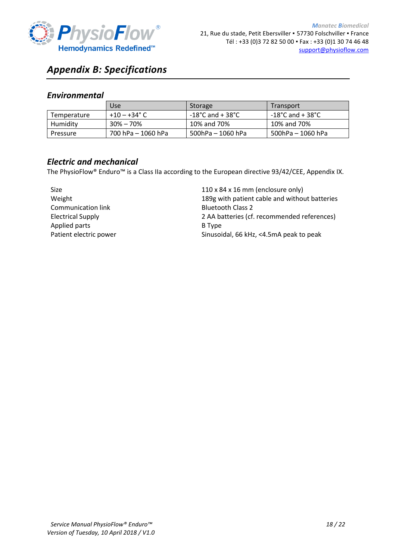

# <span id="page-17-0"></span>*Appendix B: Specifications*

#### <span id="page-17-1"></span>*Environmental*

|             | Use                | Storage           | Transport                             |
|-------------|--------------------|-------------------|---------------------------------------|
| Temperature | $+10 - +34$ °C     | -18°C and + 38°C  | $-18^{\circ}$ C and + 38 $^{\circ}$ C |
| Humidity    | $30\% - 70\%$      | 10% and 70%       | 10% and 70%                           |
| Pressure    | 700 hPa - 1060 hPa | 500hPa - 1060 hPa | 500hPa – 1060 hPa                     |

#### <span id="page-17-2"></span>*Electric and mechanical*

The PhysioFlow® Enduro™ is a Class IIa according to the European directive 93/42/CEE, Appendix IX.

| <b>Size</b>               | $110 \times 84 \times 16$ mm (enclosure only) |
|---------------------------|-----------------------------------------------|
| Weight                    | 189g with patient cable and without batteries |
| <b>Communication link</b> | <b>Bluetooth Class 2</b>                      |
| <b>Electrical Supply</b>  | 2 AA batteries (cf. recommended references)   |
| Applied parts             | B Type                                        |
| Patient electric power    | Sinusoidal, 66 kHz, <4.5mA peak to peak       |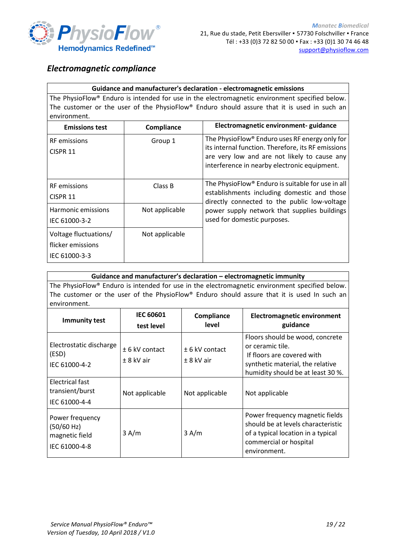

#### <span id="page-18-0"></span>*Electromagnetic compliance*

#### **Guidance and manufacturer's declaration - electromagnetic emissions**

The PhysioFlow® Enduro is intended for use in the electromagnetic environment specified below. The customer or the user of the PhysioFlow® Enduro should assure that it is used in such an environment.

| <b>Emissions test</b>                                       | Compliance     | Electromagnetic environment- guidance                                                                                                                                                                |  |
|-------------------------------------------------------------|----------------|------------------------------------------------------------------------------------------------------------------------------------------------------------------------------------------------------|--|
| <b>RF</b> emissions<br>CISPR <sub>11</sub>                  | Group 1        | The PhysioFlow® Enduro uses RF energy only for<br>its internal function. Therefore, its RF emissions<br>are very low and are not likely to cause any<br>interference in nearby electronic equipment. |  |
| <b>RF</b> emissions<br>CISPR <sub>11</sub>                  | Class B        | The PhysioFlow <sup>®</sup> Enduro is suitable for use in all<br>establishments including domestic and those<br>directly connected to the public low-voltage                                         |  |
| Harmonic emissions<br>IEC 61000-3-2                         | Not applicable | power supply network that supplies buildings<br>used for domestic purposes.                                                                                                                          |  |
| Voltage fluctuations/<br>flicker emissions<br>IEC 61000-3-3 | Not applicable |                                                                                                                                                                                                      |  |

#### **Guidance and manufacturer's declaration – electromagnetic immunity**

The PhysioFlow® Enduro is intended for use in the electromagnetic environment specified below. The customer or the user of the PhysioFlow® Enduro should assure that it is used In such an environment.

| <b>Immunity test</b>                                             | <b>IEC 60601</b><br>test level   | Compliance<br>level              | <b>Electromagnetic environment</b><br>guidance                                                                                                             |
|------------------------------------------------------------------|----------------------------------|----------------------------------|------------------------------------------------------------------------------------------------------------------------------------------------------------|
| Electrostatic discharge<br>(ESD)<br>IEC 61000-4-2                | $± 6$ kV contact<br>$± 8$ kV air | $± 6$ kV contact<br>$± 8$ kV air | Floors should be wood, concrete<br>or ceramic tile.<br>If floors are covered with<br>synthetic material, the relative<br>humidity should be at least 30 %. |
| Electrical fast<br>transient/burst<br>IEC 61000-4-4              | Not applicable                   | Not applicable                   | Not applicable                                                                                                                                             |
| Power frequency<br>(50/60 Hz)<br>magnetic field<br>IEC 61000-4-8 | 3 A/m                            | 3 A/m                            | Power frequency magnetic fields<br>should be at levels characteristic<br>of a typical location in a typical<br>commercial or hospital<br>environment.      |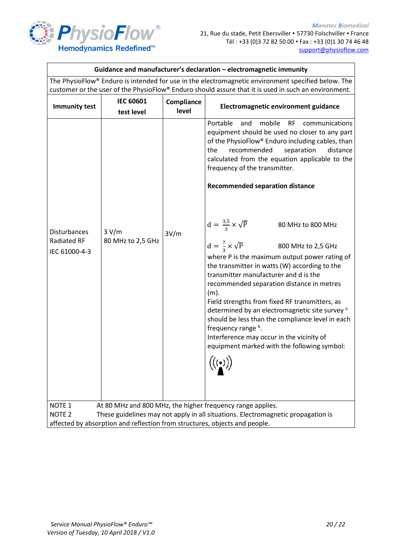

| Guidance and manufacturer's declaration - electromagnetic immunity                                                                                                  |                                |                     |                                                                                                                                                                                                                                                                                                                                                                                                                                                                                                                                                                                                                                                                                                                                                                                                                                                                                                                                                                                                                             |  |  |  |  |
|---------------------------------------------------------------------------------------------------------------------------------------------------------------------|--------------------------------|---------------------|-----------------------------------------------------------------------------------------------------------------------------------------------------------------------------------------------------------------------------------------------------------------------------------------------------------------------------------------------------------------------------------------------------------------------------------------------------------------------------------------------------------------------------------------------------------------------------------------------------------------------------------------------------------------------------------------------------------------------------------------------------------------------------------------------------------------------------------------------------------------------------------------------------------------------------------------------------------------------------------------------------------------------------|--|--|--|--|
| The PhysioFlow® Enduro is intended for use in the electromagnetic environment specified below. The                                                                  |                                |                     |                                                                                                                                                                                                                                                                                                                                                                                                                                                                                                                                                                                                                                                                                                                                                                                                                                                                                                                                                                                                                             |  |  |  |  |
| customer or the user of the PhysioFlow® Enduro should assure that it is used in such an environment.                                                                |                                |                     |                                                                                                                                                                                                                                                                                                                                                                                                                                                                                                                                                                                                                                                                                                                                                                                                                                                                                                                                                                                                                             |  |  |  |  |
| <b>Immunity test</b>                                                                                                                                                | <b>IEC 60601</b><br>test level | Compliance<br>level | Electromagnetic environment guidance                                                                                                                                                                                                                                                                                                                                                                                                                                                                                                                                                                                                                                                                                                                                                                                                                                                                                                                                                                                        |  |  |  |  |
| <b>Disturbances</b><br><b>Radiated RF</b><br>IEC 61000-4-3<br>NOTE <sub>1</sub>                                                                                     | 3 V/m<br>80 MHz to 2,5 GHz     | 3V/m                | Portable<br>mobile<br>and<br><b>RF</b><br>communications<br>equipment should be used no closer to any part<br>of the PhysioFlow® Enduro including cables, than<br>the<br>recommended<br>separation<br>distance<br>calculated from the equation applicable to the<br>frequency of the transmitter.<br><b>Recommended separation distance</b><br>$d = \frac{3.5}{3} \times \sqrt{P}$<br>80 MHz to 800 MHz<br>$d = \frac{7}{2} \times \sqrt{P}$<br>800 MHz to 2,5 GHz<br>where P is the maximum output power rating of<br>the transmitter in watts (W) according to the<br>transmitter manufacturer and d is the<br>recommended separation distance in metres<br>$(m)$ .<br>Field strengths from fixed RF transmitters, as<br>determined by an electromagnetic site survey <sup>a</sup><br>should be less than the compliance level in each<br>frequency range b.<br>Interference may occur in the vicinity of<br>equipment marked with the following symbol:<br>$\big((\begin{smallmatrix}\cdot&\cdot\end{smallmatrix})\big)$ |  |  |  |  |
| At 80 MHz and 800 MHz, the higher frequency range applies.<br>NOTE <sub>2</sub><br>These guidelines may not apply in all situations. Electromagnetic propagation is |                                |                     |                                                                                                                                                                                                                                                                                                                                                                                                                                                                                                                                                                                                                                                                                                                                                                                                                                                                                                                                                                                                                             |  |  |  |  |
| affected by absorption and reflection from structures, objects and people.                                                                                          |                                |                     |                                                                                                                                                                                                                                                                                                                                                                                                                                                                                                                                                                                                                                                                                                                                                                                                                                                                                                                                                                                                                             |  |  |  |  |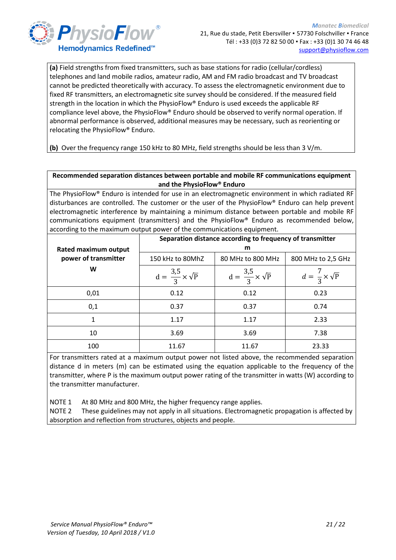

**(a)** Field strengths from fixed transmitters, such as base stations for radio (cellular/cordless) telephones and land mobile radios, amateur radio, AM and FM radio broadcast and TV broadcast cannot be predicted theoretically with accuracy. To assess the electromagnetic environment due to fixed RF transmitters, an electromagnetic site survey should be considered. If the measured field strength in the location in which the PhysioFlow® Enduro is used exceeds the applicable RF compliance level above, the PhysioFlow® Enduro should be observed to verify normal operation. If abnormal performance is observed, additional measures may be necessary, such as reorienting or relocating the PhysioFlow® Enduro.

**(b)** Over the frequency range 150 kHz to 80 MHz, field strengths should be less than 3 V/m.

#### **Recommended separation distances between portable and mobile RF communications equipment and the PhysioFlow® Enduro**

The PhysioFlow® Enduro is intended for use in an electromagnetic environment in which radiated RF disturbances are controlled. The customer or the user of the PhysioFlow® Enduro can help prevent electromagnetic interference by maintaining a minimum distance between portable and mobile RF communications equipment (transmitters) and the PhysioFlow® Enduro as recommended below, according to the maximum output power of the communications equipment.

|                      | Separation distance according to frequency of transmitter<br>m |                                     |                                   |  |  |
|----------------------|----------------------------------------------------------------|-------------------------------------|-----------------------------------|--|--|
| Rated maximum output |                                                                |                                     |                                   |  |  |
| power of transmitter | 150 kHz to 80MhZ                                               | 80 MHz to 800 MHz                   | 800 MHz to 2,5 GHz                |  |  |
| W                    | $d = \frac{3.5}{3} \times \sqrt{P}$                            | $d = \frac{3.5}{3} \times \sqrt{P}$ | $d = \frac{7}{3} \times \sqrt{P}$ |  |  |
| 0,01                 | 0.12                                                           | 0.12                                | 0.23                              |  |  |
| 0,1                  | 0.37                                                           | 0.37                                | 0.74                              |  |  |
| 1                    | 1.17                                                           | 1.17                                | 2.33                              |  |  |
| 10                   | 3.69                                                           | 3.69                                | 7.38                              |  |  |
| 100                  | 11.67                                                          | 11.67                               | 23.33                             |  |  |

For transmitters rated at a maximum output power not listed above, the recommended separation distance d in meters (m) can be estimated using the equation applicable to the frequency of the transmitter, where P is the maximum output power rating of the transmitter in watts (W) according to the transmitter manufacturer.

NOTE 1 At 80 MHz and 800 MHz, the higher frequency range applies.

NOTE 2 These guidelines may not apply in all situations. Electromagnetic propagation is affected by absorption and reflection from structures, objects and people.